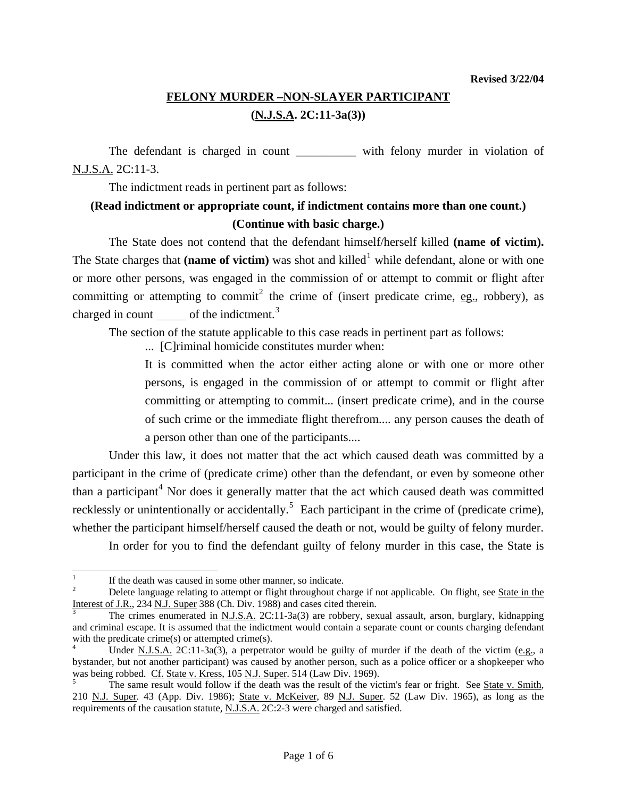## **FELONY MURDER –NON-SLAYER PARTICIPANT (N.J.S.A. 2C:11-3a(3))**

The defendant is charged in count \_\_\_\_\_\_\_\_\_\_\_\_ with felony murder in violation of N.J.S.A. 2C:11-3.

The indictment reads in pertinent part as follows:

## **(Read indictment or appropriate count, if indictment contains more than one count.) (Continue with basic charge.)**

 The State does not contend that the defendant himself/herself killed **(name of victim).** The State charges that (name of victim) was shot and killed<sup>[1](#page-0-0)</sup> while defendant, alone or with one or more other persons, was engaged in the commission of or attempt to commit or flight after committing or attempting to commit<sup>[2](#page-0-1)</sup> the crime of (insert predicate crime, eg., robbery), as charged in count  $\_\_\_\$  of the indictment.<sup>[3](#page-0-2)</sup>

The section of the statute applicable to this case reads in pertinent part as follows:

... [C]riminal homicide constitutes murder when:

It is committed when the actor either acting alone or with one or more other persons, is engaged in the commission of or attempt to commit or flight after committing or attempting to commit... (insert predicate crime), and in the course of such crime or the immediate flight therefrom.... any person causes the death of a person other than one of the participants....

 Under this law, it does not matter that the act which caused death was committed by a participant in the crime of (predicate crime) other than the defendant, or even by someone other than a participant<sup>[4](#page-0-3)</sup> Nor does it generally matter that the act which caused death was committed recklessly or unintentionally or accidentally.<sup>[5](#page-0-4)</sup> Each participant in the crime of (predicate crime), whether the participant himself/herself caused the death or not, would be guilty of felony murder. In order for you to find the defendant guilty of felony murder in this case, the State is

<span id="page-0-5"></span> $\frac{1}{1}$ If the death was caused in some other manner, so indicate.

<span id="page-0-1"></span><span id="page-0-0"></span><sup>2</sup> Delete language relating to attempt or flight throughout charge if not applicable. On flight, see State in the Interest of J.R., 234 N.J. Super 388 (Ch. Div. 1988) and cases cited therein.

<span id="page-0-2"></span>The crimes enumerated in N.J.S.A. 2C:11-3a(3) are robbery, sexual assault, arson, burglary, kidnapping and criminal escape. It is assumed that the indictment would contain a separate count or counts charging defendant with the predicate crime $(s)$  or attempted crime $(s)$ .

<span id="page-0-3"></span>Under <u>N.J.S.A.</u> 2C:11-3a(3), a perpetrator would be guilty of murder if the death of the victim (e.g., a bystander, but not another participant) was caused by another person, such as a police officer or a shopkeeper who was being robbed. Cf. State v. Kress, 105 N.J. Super. 514 (Law Div. 1969).

<span id="page-0-4"></span>The same result would follow if the death was the result of the victim's fear or fright. See State v. Smith, 210 N.J. Super. 43 (App. Div. 1986); State v. McKeiver, 89 N.J. Super. 52 (Law Div. 1965), as long as the requirements of the causation statute, N.J.S.A. 2C:2-3 were charged and satisfied.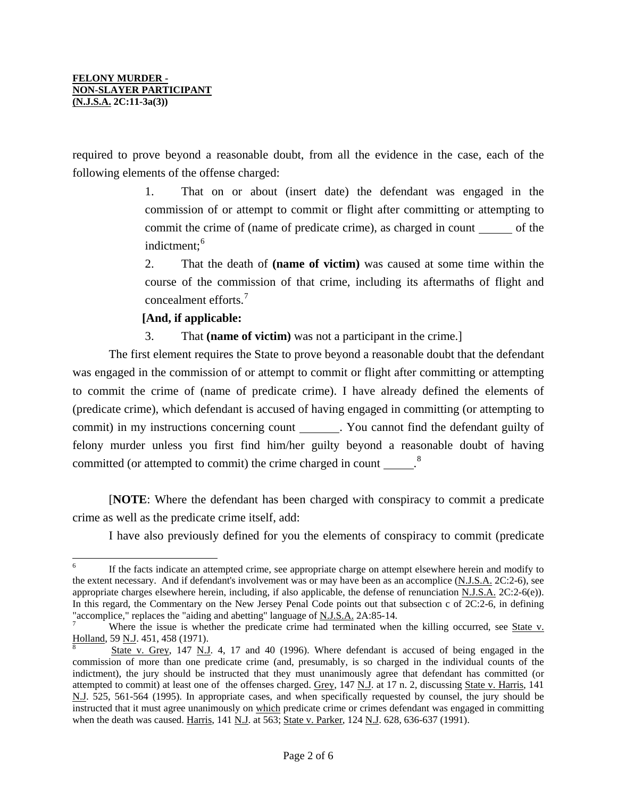required to prove beyond a reasonable doubt, from all the evidence in the case, each of the following elements of the offense charged:

> 1. That on or about (insert date) the defendant was engaged in the commission of or attempt to commit or flight after committing or attempting to commit the crime of (name of predicate crime), as charged in count of the indictment:<sup>[6](#page-0-5)</sup>

> 2. That the death of **(name of victim)** was caused at some time within the course of the commission of that crime, including its aftermaths of flight and concealment efforts.[7](#page-1-0)

## **[And, if applicable:**

3. That **(name of victim)** was not a participant in the crime.]

 The first element requires the State to prove beyond a reasonable doubt that the defendant was engaged in the commission of or attempt to commit or flight after committing or attempting to commit the crime of (name of predicate crime). I have already defined the elements of (predicate crime), which defendant is accused of having engaged in committing (or attempting to commit) in my instructions concerning count . You cannot find the defendant guilty of felony murder unless you first find him/her guilty beyond a reasonable doubt of having committed (or attempted to commit) the crime charged in count  $\frac{8}{100}$  $\frac{8}{100}$  $\frac{8}{100}$ 

 [**NOTE**: Where the defendant has been charged with conspiracy to commit a predicate crime as well as the predicate crime itself, add:

I have also previously defined for you the elements of conspiracy to commit (predicate

 6 If the facts indicate an attempted crime, see appropriate charge on attempt elsewhere herein and modify to the extent necessary. And if defendant's involvement was or may have been as an accomplice (N.J.S.A. 2C:2-6), see appropriate charges elsewhere herein, including, if also applicable, the defense of renunciation N.J.S.A. 2C:2-6(e)). In this regard, the Commentary on the New Jersey Penal Code points out that subsection c of 2C:2-6, in defining "accomplice," replaces the "aiding and abetting" language of N.J.S.A. 2A:85-14.

<span id="page-1-0"></span>Where the issue is whether the predicate crime had terminated when the killing occurred, see State v. Holland, 59 N.J. 451, 458 (1971).

<span id="page-1-2"></span><span id="page-1-1"></span>State v. Grey, 147 N.J. 4, 17 and 40 (1996). Where defendant is accused of being engaged in the commission of more than one predicate crime (and, presumably, is so charged in the individual counts of the indictment), the jury should be instructed that they must unanimously agree that defendant has committed (or attempted to commit) at least one of the offenses charged. Grey, 147 N.J. at 17 n. 2, discussing State v. Harris, 141 N.J. 525, 561-564 (1995). In appropriate cases, and when specifically requested by counsel, the jury should be instructed that it must agree unanimously on which predicate crime or crimes defendant was engaged in committing when the death was caused. Harris, 141 N.J. at 563; State v. Parker, 124 N.J. 628, 636-637 (1991).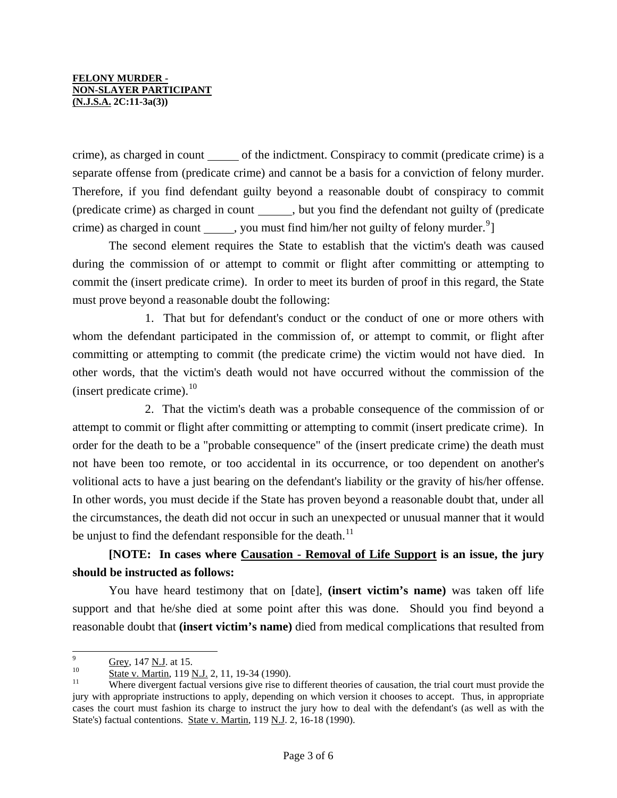crime), as charged in count of the indictment. Conspiracy to commit (predicate crime) is a separate offense from (predicate crime) and cannot be a basis for a conviction of felony murder. Therefore, if you find defendant guilty beyond a reasonable doubt of conspiracy to commit (predicate crime) as charged in count , but you find the defendant not guilty of (predicate crime) as charged in count \_\_\_\_\_\_, you must find him/her not guilty of felony murder.<sup>[9](#page-1-2)</sup>]

 The second element requires the State to establish that the victim's death was caused during the commission of or attempt to commit or flight after committing or attempting to commit the (insert predicate crime). In order to meet its burden of proof in this regard, the State must prove beyond a reasonable doubt the following:

 1. That but for defendant's conduct or the conduct of one or more others with whom the defendant participated in the commission of, or attempt to commit, or flight after committing or attempting to commit (the predicate crime) the victim would not have died. In other words, that the victim's death would not have occurred without the commission of the (insert predicate crime). $^{10}$  $^{10}$  $^{10}$ 

 2. That the victim's death was a probable consequence of the commission of or attempt to commit or flight after committing or attempting to commit (insert predicate crime). In order for the death to be a "probable consequence" of the (insert predicate crime) the death must not have been too remote, or too accidental in its occurrence, or too dependent on another's volitional acts to have a just bearing on the defendant's liability or the gravity of his/her offense. In other words, you must decide if the State has proven beyond a reasonable doubt that, under all the circumstances, the death did not occur in such an unexpected or unusual manner that it would be unjust to find the defendant responsible for the death.<sup>[11](#page-2-1)</sup>

## **[NOTE: In cases where Causation - Removal of Life Support is an issue, the jury should be instructed as follows:**

 You have heard testimony that on [date], **(insert victim's name)** was taken off life support and that he/she died at some point after this was done. Should you find beyond a reasonable doubt that **(insert victim's name)** died from medical complications that resulted from

<sup>.&</sup>lt;br>9

<span id="page-2-2"></span><span id="page-2-1"></span><span id="page-2-0"></span>

 $Grey, 147$  N.J. at 15.<br>
10 State v. Martin, 119 N.J. 2, 11, 19-34 (1990).<br>
<sup>11</sup> Where divergent factual versions give rise to different theories of causation, the trial court must provide the jury with appropriate instructions to apply, depending on which version it chooses to accept. Thus, in appropriate cases the court must fashion its charge to instruct the jury how to deal with the defendant's (as well as with the State's) factual contentions. State v. Martin, 119 N.J. 2, 16-18 (1990).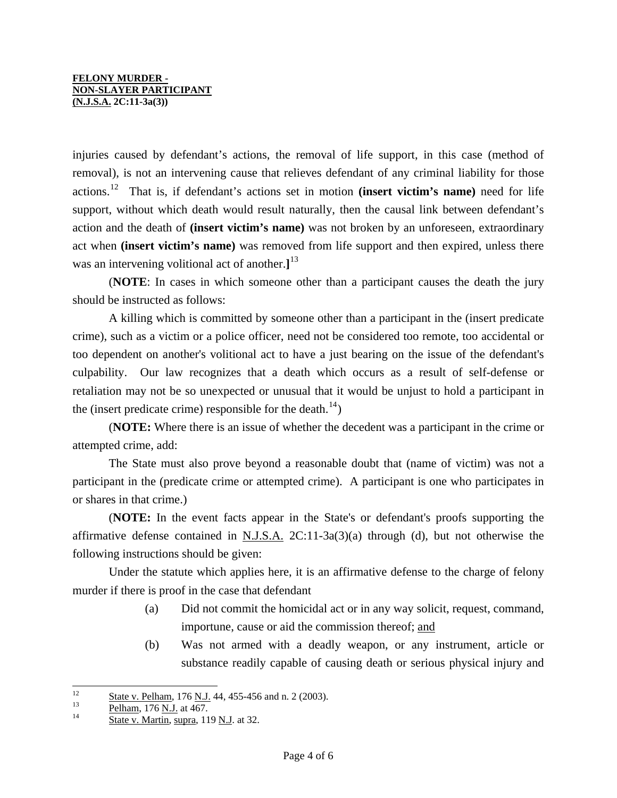injuries caused by defendant's actions, the removal of life support, in this case (method of removal), is not an intervening cause that relieves defendant of any criminal liability for those actions.[12](#page-2-2) That is, if defendant's actions set in motion **(insert victim's name)** need for life support, without which death would result naturally, then the causal link between defendant's action and the death of **(insert victim's name)** was not broken by an unforeseen, extraordinary act when **(insert victim's name)** was removed from life support and then expired, unless there was an intervening volitional act of another.**]** [13](#page-3-0)

 (**NOTE**: In cases in which someone other than a participant causes the death the jury should be instructed as follows:

 A killing which is committed by someone other than a participant in the (insert predicate crime), such as a victim or a police officer, need not be considered too remote, too accidental or too dependent on another's volitional act to have a just bearing on the issue of the defendant's culpability. Our law recognizes that a death which occurs as a result of self-defense or retaliation may not be so unexpected or unusual that it would be unjust to hold a participant in the (insert predicate crime) responsible for the death.<sup>[14](#page-3-1)</sup>)

 (**NOTE:** Where there is an issue of whether the decedent was a participant in the crime or attempted crime, add:

 The State must also prove beyond a reasonable doubt that (name of victim) was not a participant in the (predicate crime or attempted crime). A participant is one who participates in or shares in that crime.)

 (**NOTE:** In the event facts appear in the State's or defendant's proofs supporting the affirmative defense contained in N.J.S.A. 2C:11-3a(3)(a) through (d), but not otherwise the following instructions should be given:

 Under the statute which applies here, it is an affirmative defense to the charge of felony murder if there is proof in the case that defendant

- (a) Did not commit the homicidal act or in any way solicit, request, command, importune, cause or aid the commission thereof; and
- (b) Was not armed with a deadly weapon, or any instrument, article or substance readily capable of causing death or serious physical injury and

<span id="page-3-2"></span> $12$  $\frac{\text{State v. Pelham}}{13}$ , 176 N.J. 44, 455-456 and n. 2 (2003).<br>
<u>Pelham</u>, 176 <u>N.J.</u> at 467.<br>
<u>State v. Martin, supra</u>, 119 N.J. at 32.

<span id="page-3-0"></span>

<span id="page-3-1"></span>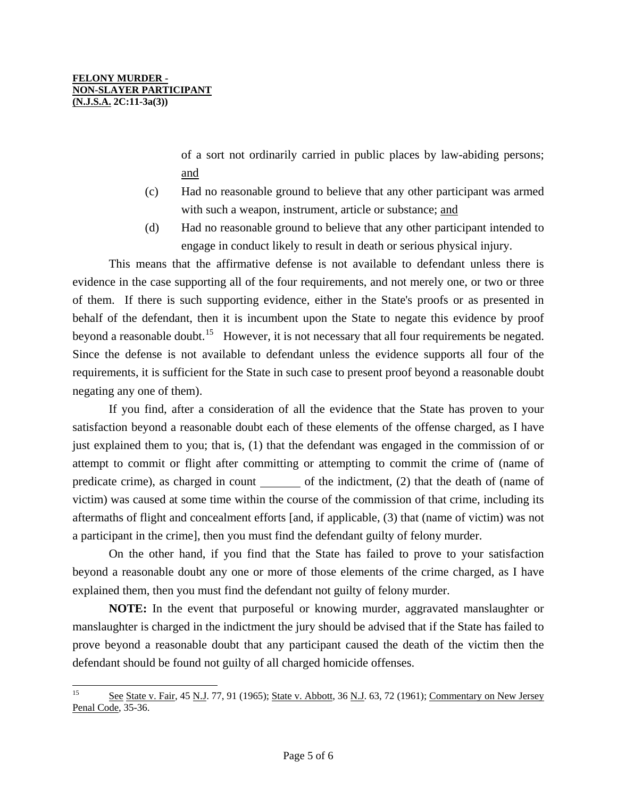of a sort not ordinarily carried in public places by law-abiding persons; and

- (c) Had no reasonable ground to believe that any other participant was armed with such a weapon, instrument, article or substance; and
- (d) Had no reasonable ground to believe that any other participant intended to engage in conduct likely to result in death or serious physical injury.

 This means that the affirmative defense is not available to defendant unless there is evidence in the case supporting all of the four requirements, and not merely one, or two or three of them. If there is such supporting evidence, either in the State's proofs or as presented in behalf of the defendant, then it is incumbent upon the State to negate this evidence by proof beyond a reasonable doubt.<sup>[15](#page-3-2)</sup> However, it is not necessary that all four requirements be negated. Since the defense is not available to defendant unless the evidence supports all four of the requirements, it is sufficient for the State in such case to present proof beyond a reasonable doubt negating any one of them).

 If you find, after a consideration of all the evidence that the State has proven to your satisfaction beyond a reasonable doubt each of these elements of the offense charged, as I have just explained them to you; that is, (1) that the defendant was engaged in the commission of or attempt to commit or flight after committing or attempting to commit the crime of (name of predicate crime), as charged in count of the indictment, (2) that the death of (name of victim) was caused at some time within the course of the commission of that crime, including its aftermaths of flight and concealment efforts [and, if applicable, (3) that (name of victim) was not a participant in the crime], then you must find the defendant guilty of felony murder.

 On the other hand, if you find that the State has failed to prove to your satisfaction beyond a reasonable doubt any one or more of those elements of the crime charged, as I have explained them, then you must find the defendant not guilty of felony murder.

**NOTE:** In the event that purposeful or knowing murder, aggravated manslaughter or manslaughter is charged in the indictment the jury should be advised that if the State has failed to prove beyond a reasonable doubt that any participant caused the death of the victim then the defendant should be found not guilty of all charged homicide offenses.

<span id="page-4-0"></span><sup>15</sup> See State v. Fair, 45 N.J. 77, 91 (1965); State v. Abbott, 36 N.J. 63, 72 (1961); Commentary on New Jersey Penal Code, 35-36.